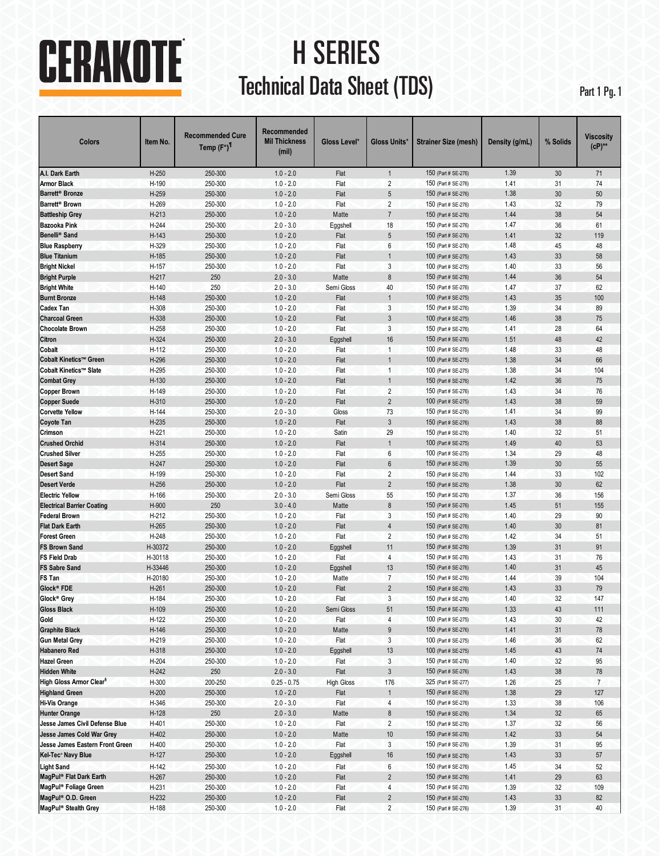# CERAKOTE

# H SERIES Technical Data Sheet (TDS) Part 1 Pg. 1

| Colors                                            | Item No.       | <b>Recommended Cure</b><br>Temp (F°) <sup>1</sup> | Recommended<br><b>Mil Thickness</b><br>(mil) | Gloss Level*      | Gloss Units*                     | <b>Strainer Size (mesh)</b>                | Density (g/mL) | % Solids | Viscositv<br>$(CP)$ ** |
|---------------------------------------------------|----------------|---------------------------------------------------|----------------------------------------------|-------------------|----------------------------------|--------------------------------------------|----------------|----------|------------------------|
| A.I. Dark Earth                                   | $H-250$        | 250-300                                           | $1.0 - 2.0$                                  | Flat              | $\mathbf{1}$                     | 150 (Part # SE-276)                        | 1.39           | 30       | 71                     |
| <b>Armor Black</b>                                | H-190          | 250-300                                           | $1.0 - 2.0$                                  | Flat              | 2                                | 150 (Part # SE-276)                        | 1.41           | 31       | 74                     |
| Barrett <sup>®</sup> Bronze                       | H-259          | 250-300                                           | $1.0 - 2.0$                                  | Flat              | 5                                | 150 (Part # SE-276)                        | 1.38           | 30       | 50                     |
| Barrett <sup>®</sup> Brown                        | H-269          | 250-300                                           | $1.0 - 2.0$                                  | Flat              | $\overline{2}$                   | 150 (Part # SE-276)                        | 1.43           | 32       | 79                     |
| <b>Battleship Grey</b>                            | $H-213$        | 250-300                                           | $1.0 - 2.0$                                  | Matte             | $\overline{7}$                   | 150 (Part # SE-276)                        | 1.44           | 38       | 54                     |
| <b>Bazooka Pink</b>                               | H-244          | 250-300                                           | $2.0 - 3.0$                                  | Eggshell          | 18                               | 150 (Part # SE-276)                        | 1.47           | 36       | 61                     |
| Benelli <sup>®</sup> Sand                         | H-143          | 250-300                                           | $1.0 - 2.0$                                  | Flat              | 5                                | 150 (Part # SE-276)                        | 1.41           | 32       | 119                    |
| <b>Blue Raspberry</b>                             | H-329          | 250-300                                           | $1.0 - 2.0$                                  | Flat              | 6                                | 150 (Part # SE-276)                        | 1.48           | 45       | 48                     |
| <b>Blue Titanium</b>                              | H-185          | 250-300                                           | $1.0 - 2.0$                                  | Flat              | $\mathbf{1}$                     | 100 (Part # SE-275)                        | 1.43           | 33       | 58                     |
| <b>Bright Nickel</b>                              | H-157          | 250-300                                           | $1.0 - 2.0$                                  | Flat              | 3                                | 100 (Part # SE-275)                        | 1.40           | 33       | 56                     |
| <b>Bright Purple</b>                              | $H-217$        | 250                                               | $2.0 - 3.0$                                  | Matte             | 8                                | 150 (Part # SE-276)                        | 1.44           | 36       | 54                     |
| <b>Bright White</b>                               | H-140          | 250                                               | $2.0 - 3.0$                                  | Semi Gloss        | 40                               | 150 (Part # SE-276)                        | 1.47           | 37       | 62                     |
| <b>Burnt Bronze</b>                               | H-148          | 250-300                                           | $1.0 - 2.0$                                  | Flat              | $\mathbf{1}$                     | 100 (Part # SE-275)                        | 1.43           | 35       | 100                    |
| <b>Cadex Tan</b>                                  | H-308          | 250-300                                           | $1.0 - 2.0$                                  | Flat              | 3                                | 150 (Part # SE-276)                        | 1.39           | 34       | 89                     |
| <b>Charcoal Green</b>                             | H-338          | 250-300                                           | $1.0 - 2.0$                                  | Flat              | 3                                | 100 (Part # SE-275)                        | 1.46           | 38       | 75                     |
| <b>Chocolate Brown</b>                            | H-258          | 250-300                                           | $1.0 - 2.0$                                  | Flat              | 3                                | 150 (Part # SE-276)                        | 1.41           | 28       | 64                     |
| Citron                                            | H-324          | 250-300                                           | $2.0 - 3.0$                                  | Eggshell          | 16                               | 150 (Part # SE-276)                        | 1.51           | 48       | 42                     |
| Cobalt                                            | H-112          | 250-300                                           | $1.0 - 2.0$                                  | Flat              | $\overline{1}$                   | 100 (Part # SE-275)                        | 1.48           | 33       | 48                     |
| Cobalt Kinetics™ Green                            | H-296          | 250-300                                           | $1.0 - 2.0$                                  | Flat              | $\mathbf{1}$                     | 100 (Part # SE-275)                        | 1.38           | 34       | 66                     |
| Cobalt Kinetics™ Slate                            | H-295          | 250-300                                           | $1.0 - 2.0$                                  | Flat              | $\overline{1}$                   | 100 (Part # SE-275)                        | 1.38           | 34       | 104                    |
| <b>Combat Grey</b>                                | $H-130$        | 250-300                                           | $1.0 - 2.0$                                  | Flat              | 1                                | 150 (Part # SE-276)                        | 1.42           | 36       | 75                     |
| <b>Copper Brown</b>                               | H-149          | 250-300                                           | $1.0 - 2.0$                                  | Flat              | $\overline{2}$                   | 150 (Part # SE-276)                        | 1.43           | 34       | 76                     |
| <b>Copper Suede</b>                               | H-310          | 250-300                                           | $1.0 - 2.0$                                  | Flat              | $\overline{2}$                   | 100 (Part # SE-275)                        | 1.43           | 38       | 59                     |
| <b>Corvette Yellow</b>                            | H-144          | 250-300                                           | $2.0 - 3.0$                                  | Gloss             | 73                               | 150 (Part # SE-276)                        | 1.41           | 34       | 99                     |
| <b>Coyote Tan</b>                                 | $H-235$        | 250-300                                           | $1.0 - 2.0$                                  | Flat              | $\mathfrak{Z}$                   | 150 (Part # SE-276)                        | 1.43           | 38       | 88                     |
| Crimson                                           | $H-221$        | 250-300                                           | $1.0 - 2.0$                                  | Satin             | 29                               | 150 (Part # SE-276)                        | 1.40           | 32       | 51                     |
| <b>Crushed Orchid</b>                             |                | 250-300                                           | $1.0 - 2.0$                                  |                   | $\mathbf{1}$                     | 100 (Part # SE-275)                        | 1.49           | 40       | 53                     |
| <b>Crushed Silver</b>                             | H-314          | 250-300                                           |                                              | Flat<br>Flat      | 6                                |                                            | 1.34           | 29       | 48                     |
|                                                   | H-255<br>H-247 | 250-300                                           | $1.0 - 2.0$<br>$1.0 - 2.0$                   |                   | $6\phantom{.}6$                  | 100 (Part # SE-275)<br>150 (Part # SE-276) | 1.39           | 30       | 55                     |
| <b>Desert Sage</b>                                |                |                                                   |                                              | Flat              |                                  |                                            |                |          |                        |
| <b>Desert Sand</b><br><b>Desert Verde</b>         | H-199<br>H-256 | 250-300<br>250-300                                | $1.0 - 2.0$<br>$1.0 - 2.0$                   | Flat<br>Flat      | $\overline{2}$<br>$\overline{2}$ | 150 (Part # SE-276)<br>150 (Part # SE-276) | 1.44<br>1.38   | 33<br>30 | 102<br>62              |
|                                                   |                |                                                   |                                              |                   |                                  |                                            | 1.37           |          |                        |
| <b>Electric Yellow</b>                            | H-166          | 250-300                                           | $2.0 - 3.0$                                  | Semi Gloss        | 55                               | 150 (Part # SE-276)                        |                | 36       | 156                    |
| <b>Electrical Barrier Coating</b>                 | H-900          | 250                                               | $3.0 - 4.0$                                  | Matte             | 8                                | 150 (Part # SE-276)                        | 1.45           | 51       | 155                    |
| <b>Federal Brown</b>                              | $H-212$        | 250-300                                           | $1.0 - 2.0$                                  | Flat              | 3                                | 150 (Part # SE-276)                        | 1.40           | 29       | 90                     |
| <b>Flat Dark Earth</b>                            | H-265          | 250-300                                           | $1.0 - 2.0$                                  | Flat              | $\overline{4}$                   | 150 (Part # SE-276)                        | 1.40           | 30       | 81                     |
| <b>Forest Green</b>                               | H-248          | 250-300                                           | $1.0 - 2.0$                                  | Flat              | 2                                | 150 (Part # SE-276)<br>150 (Part # SE-276) | 1.42           | 34       | 51                     |
| <b>FS Brown Sand</b>                              | H-30372        | 250-300                                           | $1.0 - 2.0$                                  | Eggshell          | 11                               |                                            | 1.39           | 31       | 91                     |
| <b>FS Field Drab</b>                              | H-30118        | 250-300                                           | $1.0 - 2.0$                                  | Flat              | $\overline{4}$                   | 150 (Part # SE-276)                        | 1.43           | 31       | 76                     |
| <b>FS Sabre Sand</b>                              | H-33446        | 250-300                                           | $1.0 - 2.0$                                  | Eggshell          | 13                               | 150 (Part # SE-276)                        | 1.40           | 31       | 45                     |
| FS Tan                                            | H-20180        | 250-300                                           | $1.0 - 2.0$                                  | Matte             | $\overline{7}$                   | 150 (Part # SE-276)                        | 1.44           | 39       | 104                    |
| Glock <sup>®</sup> FDE<br>Glock <sup>®</sup> Grey | H-261          | 250-300                                           | $1.0 - 2.0$                                  | Flat              | $\overline{2}$                   | 150 (Part # SE-276)                        | 1.43           | 33       | 79                     |
|                                                   | H-184          | 250-300                                           | $1.0 - 2.0$                                  | Flat              | 3                                | 150 (Part # SE-276)                        | 1.40           | 32       | 147                    |
| <b>Gloss Black</b>                                | H-109          | 250-300                                           | $1.0 - 2.0$                                  | Semi Gloss        | 51                               | 150 (Part # SE-276)                        | 1.33           | 43       | 111                    |
| Gold                                              | H-122          | 250-300                                           | $1.0 - 2.0$                                  | Flat              | $\overline{4}$                   | 100 (Part # SE-275)                        | 1.43           | 30       | 42                     |
| <b>Graphite Black</b>                             | H-146          | 250-300                                           | $1.0 - 2.0$                                  | Matte             | $9\,$                            | 150 (Part # SE-276)                        | 1.41           | 31       | 78                     |
| <b>Gun Metal Grey</b>                             | H-219          | 250-300                                           | $1.0 - 2.0$                                  | Flat              | $\mathbf{3}$                     | 100 (Part # SE-275)                        | 1.46           | 36       | 62                     |
| <b>Habanero Red</b>                               | H-318          | 250-300                                           | $1.0 - 2.0$                                  | Eggshell          | 13                               | 100 (Part # SE-275)                        | 1.45           | 43       | $74\,$                 |
| <b>Hazel Green</b>                                | H-204          | 250-300                                           | $1.0 - 2.0$                                  | Flat              | $\mathbf{3}$                     | 150 (Part # SE-276)                        | 1.40           | 32       | 95                     |
| <b>Hidden White</b>                               | $H-242$        | 250                                               | $2.0 - 3.0$                                  | Flat              | $\sqrt{3}$                       | 150 (Part # SE-276)                        | 1.43           | 38       | 78                     |
| High Gloss Armor Clear <sup>§</sup>               | H-300          | 200-250                                           | $0.25 - 0.75$                                | <b>High Gloss</b> | 176                              | 325 (Part # SE-277)                        | 1.26           | 25       | $7\overline{ }$        |
| <b>Highland Green</b>                             | $H-200$        | 250-300                                           | $1.0 - 2.0$                                  | Flat              | $\mathbf{1}$                     | 150 (Part # SE-276)                        | 1.38           | 29       | 127                    |
| <b>Hi-Vis Orange</b>                              | H-346          | 250-300                                           | $2.0 - 3.0$                                  | Flat              | $\overline{4}$                   | 150 (Part # SE-276)                        | 1.33           | 38       | 106                    |
| <b>Hunter Orange</b>                              | $H-128$        | 250                                               | $2.0 - 3.0$                                  | Matte             | $\bf 8$                          | 150 (Part # SE-276)                        | 1.34           | 32       | 65                     |
| Jesse James Civil Defense Blue                    | H-401          | 250-300                                           | $1.0 - 2.0$                                  | Flat              | $\overline{2}$                   | 150 (Part # SE-276)                        | 1.37           | 32       | 56                     |
| Jesse James Cold War Grey                         | H-402          | 250-300                                           | $1.0 - 2.0$                                  | Matte             | $10$                             | 150 (Part # SE-276)                        | 1.42           | 33       | 54                     |
| Jesse James Eastern Front Green                   | H-400          | 250-300                                           | $1.0 - 2.0$                                  | Flat              | 3                                | 150 (Part # SE-276)                        | 1.39           | 31       | 95                     |
| Kel-Tec <sup>®</sup> Navy Blue                    | $H-127$        | 250-300                                           | $1.0 - 2.0$                                  | Eggshell          | $16\,$                           | 150 (Part # SE-276)                        | 1.43           | 33       | 57                     |
| <b>Light Sand</b>                                 | H-142          | 250-300                                           | $1.0 - 2.0$                                  | Flat              | $\boldsymbol{6}$                 | 150 (Part # SE-276)                        | 1.45           | 34       | 52                     |
| MagPul® Flat Dark Earth                           | H-267          | 250-300                                           | $1.0 - 2.0$                                  | Flat              | $\sqrt{2}$                       | 150 (Part # SE-276)                        | 1.41           | 29       | 63                     |
| MagPul® Foliage Green                             | H-231          | 250-300                                           | $1.0 - 2.0$                                  | Flat              | $\sqrt{4}$                       | 150 (Part # SE-276)                        | 1.39           | 32       | 109                    |
| MagPul® O.D. Green                                | $H-232$        | 250-300                                           | $1.0 - 2.0$                                  | Flat              | $\overline{c}$                   | 150 (Part # SE-276)                        | 1.43           | 33       | 82                     |
| MagPul® Stealth Grey                              | H-188          | 250-300                                           | $1.0 - 2.0$                                  | Flat              | $\overline{2}$                   | 150 (Part # SE-276)                        | 1.39           | 31       | 40                     |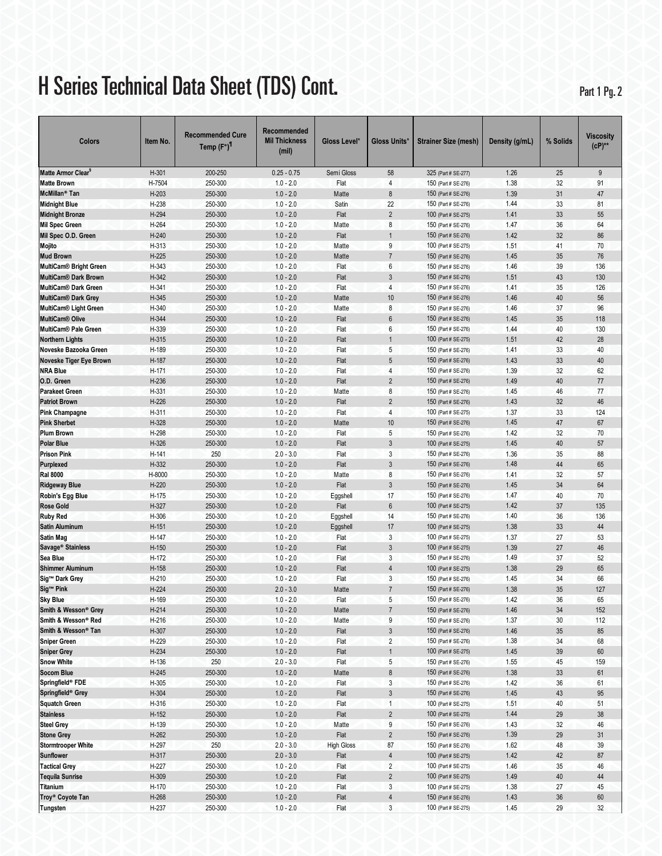## H Series Technical Data Sheet (TDS) Cont. Part 1 Pg. 2

| Colors                         | Item No. | <b>Recommended Cure</b><br>Temp $(F^{\circ})^{\parallel}$ | Recommended<br><b>Mil Thickness</b><br>(mil) | Gloss Level*      | Gloss Units*              | <b>Strainer Size (mesh)</b> | Density (g/mL) | % Solids | Viscosity<br>$(CP)_{*}$ |
|--------------------------------|----------|-----------------------------------------------------------|----------------------------------------------|-------------------|---------------------------|-----------------------------|----------------|----------|-------------------------|
| Matte Armor Clear <sup>§</sup> | H-301    | 200-250                                                   | $0.25 - 0.75$                                | Semi Gloss        | 58                        | 325 (Part # SE-277)         | 1.26           | 25       | 9                       |
| <b>Matte Brown</b>             | H-7504   | 250-300                                                   | $1.0 - 2.0$                                  | Flat              | $\overline{4}$            | 150 (Part # SE-276)         | 1.38           | 32       | 91                      |
| McMillan <sup>®</sup> Tan      | H-203    | 250-300                                                   | $1.0 - 2.0$                                  | Matte             | 8                         | 150 (Part # SE-276)         | 1.39           | 31       | 47                      |
| <b>Midnight Blue</b>           | H-238    | 250-300                                                   | $1.0 - 2.0$                                  | Satin             | 22                        | 150 (Part # SE-276)         | 1.44           | 33       | 81                      |
| <b>Midnight Bronze</b>         | H-294    | 250-300                                                   | $1.0 - 2.0$                                  | Flat              | $\overline{2}$            | 100 (Part # SE-275)         | 1.41           | 33       | 55                      |
| <b>Mil Spec Green</b>          | H-264    | 250-300                                                   | $1.0 - 2.0$                                  | Matte             | 8                         | 150 (Part # SE-276)         | 1.47           | 36       | 64                      |
| Mil Spec O.D. Green            | $H-240$  | 250-300                                                   | $1.0 - 2.0$                                  | Flat              | $\mathbf{1}$              | 150 (Part # SE-276)         | 1.42           | 32       | 86                      |
| Mojito                         | H-313    | 250-300                                                   | $1.0 - 2.0$                                  | Matte             | 9                         | 100 (Part # SE-275)         | 1.51           | 41       | 70                      |
| <b>Mud Brown</b>               | $H-225$  | 250-300                                                   | $1.0 - 2.0$                                  | Matte             | $\overline{7}$            | 150 (Part # SE-276)         | 1.45           | 35       | 76                      |
| <b>MultiCam® Bright Green</b>  | H-343    | 250-300                                                   | $1.0 - 2.0$                                  | Flat              | 6                         | 150 (Part # SE-276)         | 1.46           | 39       | 136                     |
| MultiCam® Dark Brown           | H-342    | 250-300                                                   | $1.0 - 2.0$                                  | Flat              | 3                         | 150 (Part # SE-276)         | 1.51           | 43       | 130                     |
| <b>MultiCam® Dark Green</b>    | H-341    | 250-300                                                   | $1.0 - 2.0$                                  | Flat              | 4                         | 150 (Part # SE-276)         | 1.41           | 35       | 126                     |
| <b>MultiCam® Dark Grey</b>     | H-345    | 250-300                                                   | $1.0 - 2.0$                                  | Matte             | 10                        | 150 (Part # SE-276)         | 1.46           | 40       | 56                      |
| <b>MultiCam® Light Green</b>   | H-340    | 250-300                                                   | $1.0 - 2.0$                                  | Matte             | 8                         | 150 (Part # SE-276)         | 1.46           | 37       | 96                      |
| MultiCam <sup>®</sup> Olive    | H-344    | 250-300                                                   | $1.0 - 2.0$                                  | Flat              | 6                         | 150 (Part # SE-276)         | 1.45           | 35       | 118                     |
| MultiCam® Pale Green           | H-339    | 250-300                                                   | $1.0 - 2.0$                                  | Flat              | 6                         | 150 (Part # SE-276)         | 1.44           | 40       | 130                     |
| <b>Northern Lights</b>         | H-315    | 250-300                                                   | $1.0 - 2.0$                                  | Flat              | $\mathbf{1}$              | 100 (Part # SE-275)         | 1.51           | 42       | 28                      |
| Noveske Bazooka Green          | H-189    | 250-300                                                   | $1.0 - 2.0$                                  | Flat              | 5                         | 150 (Part # SE-276)         | 1.41           | 33       | 40                      |
| Noveske Tiger Eye Brown        | H-187    | 250-300                                                   | $1.0 - 2.0$                                  | Flat              | 5                         | 150 (Part # SE-276)         | 1.43           | 33       | 40                      |
| <b>NRA Blue</b>                | H-171    | 250-300                                                   | $1.0 - 2.0$                                  | Flat              | $\overline{4}$            | 150 (Part # SE-276)         | 1.39           | 32       | 62                      |
| O.D. Green                     | H-236    | 250-300                                                   | $1.0 - 2.0$                                  | Flat              | $\overline{2}$            | 150 (Part # SE-276)         | 1.49           | 40       | 77                      |
| <b>Parakeet Green</b>          | H-331    | 250-300                                                   | $1.0 - 2.0$                                  | Matte             | 8                         | 150 (Part # SE-276)         | 1.45           | 46       | 77                      |
| <b>Patriot Brown</b>           | H-226    | 250-300                                                   | $1.0 - 2.0$                                  | Flat              | $\overline{2}$            | 150 (Part # SE-276)         | 1.43           | 32       | 46                      |
| <b>Pink Champagne</b>          | H-311    | 250-300                                                   | $1.0 - 2.0$                                  | Flat              | $\overline{4}$            | 100 (Part # SE-275)         | 1.37           | 33       | 124                     |
| <b>Pink Sherbet</b>            | H-328    | 250-300                                                   | $1.0 - 2.0$                                  | Matte             | 10                        | 150 (Part # SE-276)         | 1.45           | 47       | 67                      |
| <b>Plum Brown</b>              | H-298    | 250-300                                                   | $1.0 - 2.0$                                  | Flat              | 5                         | 150 (Part # SE-276)         | 1.42           | 32       | 70                      |
| Polar Blue                     | H-326    | 250-300                                                   | $1.0 - 2.0$                                  | Flat              | 3                         | 100 (Part # SE-275)         | 1.45           | 40       | 57                      |
| <b>Prison Pink</b>             | H-141    | 250                                                       | $2.0 - 3.0$                                  | Flat              | 3                         | 150 (Part # SE-276)         | 1.36           | 35       | 88                      |
| Purplexed                      | H-332    | 250-300                                                   | $1.0 - 2.0$                                  | Flat              | 3                         | 150 (Part # SE-276)         | 1.48           | 44       | 65                      |
| <b>Ral 8000</b>                | H-8000   | 250-300                                                   | $1.0 - 2.0$                                  | Matte             | 8                         | 150 (Part # SE-276)         | 1.41           | 32       | 57                      |
| <b>Ridgeway Blue</b>           | H-220    | 250-300                                                   | $1.0 - 2.0$                                  | Flat              | $\mathfrak{Z}$            | 150 (Part # SE-276)         | 1.45           | 34       | 64                      |
| Robin's Egg Blue               | H-175    | 250-300                                                   | $1.0 - 2.0$                                  | Eggshell          | 17                        | 150 (Part # SE-276)         | 1.47           | 40       | 70                      |
| <b>Rose Gold</b>               | H-327    | 250-300                                                   | $1.0 - 2.0$                                  | Flat              | $6\,$                     | 100 (Part # SE-275)         | 1.42           | 37       | 135                     |
| <b>Ruby Red</b>                | H-306    | 250-300                                                   | $1.0 - 2.0$                                  | Eggshell          | 14                        | 150 (Part # SE-276)         | 1.40           | 36       | 136                     |
| Satin Aluminum                 | H-151    | 250-300                                                   | $1.0 - 2.0$                                  | Eggshell          | 17                        | 100 (Part # SE-275)         | 1.38           | 33       | 44                      |
| Satin Mag                      | H-147    | 250-300                                                   | $1.0 - 2.0$                                  | Flat              | 3                         | 100 (Part # SE-275)         | 1.37           | 27       | 53                      |
| Savage <sup>®</sup> Stainless  | $H-150$  | 250-300                                                   | $1.0 - 2.0$                                  | Flat              | 3                         | 100 (Part # SE-275)         | 1.39           | 27       | 46                      |
| Sea Blue                       | H-172    | 250-300                                                   | $1.0 - 2.0$                                  | Flat              | 3                         | 150 (Part # SE-276)         | 1.49           | 37       | 52                      |
| <b>Shimmer Aluminum</b>        | H-158    | 250-300                                                   | $1.0 - 2.0$                                  | Flat              | $\overline{4}$            | 100 (Part # SE-275)         | 1.38           | 29       | 65                      |
| Sig™ Dark Grey                 | H-210    | 250-300                                                   | $1.0 - 2.0$                                  | Flat              | 3                         | 150 (Part # SE-276)         | 1.45           | 34       | 66                      |
| Sig <sup>™</sup> Pink          | $H-224$  | 250-300                                                   | $2.0 - 3.0$                                  | Matte             | $\overline{7}$            | 150 (Part # SE-276)         | 1.38           | 35       | 127                     |
| <b>Sky Blue</b>                | H-169    | 250-300                                                   | $1.0 - 2.0$                                  | Flat              | 5                         | 150 (Part # SE-276)         | 1.42           | 36       | 65                      |
| Smith & Wesson® Grey           | $H-214$  | 250-300                                                   | $1.0 - 2.0$                                  | Matte             | $\sqrt{7}$                | 150 (Part # SE-276)         | 1.46           | 34       | 152                     |
| Smith & Wesson® Red            | H-216    | 250-300                                                   | $1.0 - 2.0$                                  | Matte             | 9                         | 150 (Part # SE-276)         | 1.37           | 30       | 112                     |
| Smith & Wesson® Tan            | H-307    | 250-300                                                   | $1.0 - 2.0$                                  | Flat              | $\ensuremath{\mathsf{3}}$ | 150 (Part # SE-276)         | 1.46           | $35\,$   | 85                      |
| <b>Sniper Green</b>            | H-229    | 250-300                                                   | $1.0 - 2.0$                                  | Flat              | $\overline{2}$            | 150 (Part # SE-276)         | 1.38           | 34       | 68                      |
| <b>Sniper Grey</b>             | H-234    | 250-300                                                   | $1.0 - 2.0$                                  | Flat              | $\mathbf{1}$              | 100 (Part # SE-275)         | 1.45           | 39       | 60                      |
| <b>Snow White</b>              | H-136    | 250                                                       | $2.0 - 3.0$                                  | Flat              | 5                         | 150 (Part # SE-276)         | 1.55           | 45       | 159                     |
| <b>Socom Blue</b>              | $H-245$  | 250-300                                                   | $1.0 - 2.0$                                  | Matte             | $\bf 8$                   | 150 (Part # SE-276)         | 1.38           | 33       | 61                      |
| Springfield® FDE               | H-305    | 250-300                                                   | $1.0 - 2.0$                                  | Flat              | $\mathbf{3}$              | 150 (Part # SE-276)         | 1.42           | 36       | 61                      |
| Springfield <sup>®</sup> Grey  | H-304    | 250-300                                                   | $1.0 - 2.0$                                  | Flat              | $\mathfrak{Z}$            | 150 (Part # SE-276)         | 1.45           | 43       | 95                      |
| <b>Squatch Green</b>           | H-316    | 250-300                                                   | $1.0 - 2.0$                                  | Flat              | $\mathbf{1}$              | 100 (Part # SE-275)         | 1.51           | 40       | 51                      |
| <b>Stainless</b>               | $H-152$  | 250-300                                                   | $1.0 - 2.0$                                  | Flat              | $\overline{2}$            | 100 (Part # SE-275)         | 1.44           | 29       | $38\,$                  |
| <b>Steel Grey</b>              | H-139    | 250-300                                                   | $1.0 - 2.0$                                  | Matte             | 9                         | 150 (Part # SE-276)         | 1.43           | 32       | $46\,$                  |
| <b>Stone Grey</b>              | H-262    | 250-300                                                   | $1.0 - 2.0$                                  | Flat              | $\overline{2}$            | 150 (Part # SE-276)         | 1.39           | 29       | 31                      |
| <b>Stormtrooper White</b>      | H-297    | 250                                                       | $2.0 - 3.0$                                  | <b>High Gloss</b> | 87                        | 150 (Part # SE-276)         | 1.62           | 48       | 39                      |
| <b>Sunflower</b>               | H-317    | 250-300                                                   | $2.0 - 3.0$                                  | Flat              | $\overline{4}$            | 100 (Part # SE-275)         | 1.42           | 42       | 87                      |
| <b>Tactical Grey</b>           | H-227    | 250-300                                                   | $1.0 - 2.0$                                  | Flat              | $\overline{2}$            | 100 (Part # SE-275)         | 1.46           | 35       | 46                      |
| <b>Tequila Sunrise</b>         | H-309    | 250-300                                                   | $1.0 - 2.0$                                  | Flat              | $\overline{2}$            | 100 (Part # SE-275)         | 1.49           | $40\,$   | 44                      |
| Titanium                       | H-170    | 250-300                                                   | $1.0 - 2.0$                                  | Flat              | 3                         | 100 (Part # SE-275)         | 1.38           | 27       | 45                      |
| Troy <sup>®</sup> Coyote Tan   | H-268    | 250-300                                                   | $1.0 - 2.0$                                  | Flat              | $\sqrt{4}$                | 150 (Part # SE-276)         | 1.43           | $36\,$   | 60                      |
| Tungsten                       | H-237    | 250-300                                                   | $1.0 - 2.0$                                  | Flat              | $\mathbf{3}$              | 100 (Part # SE-275)         | 1.45           | 29       | 32                      |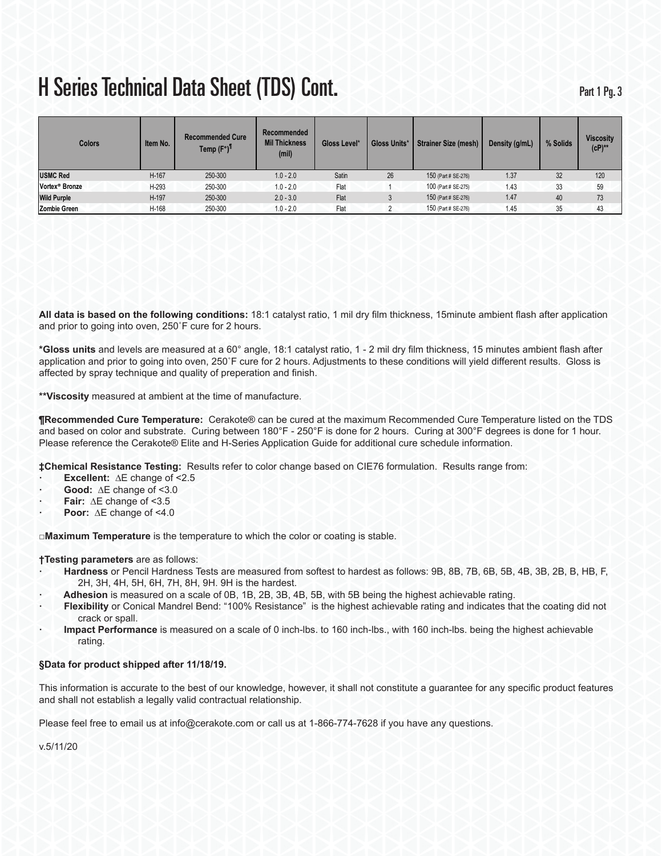| <b>Colors</b>              | Item No. | <b>Recommended Cure</b><br>Temp (F°) <sup>11</sup> | Recommended<br><b>Mil Thickness</b><br>(mil) | Gloss Level* | Gloss Units* | <b>Strainer Size (mesh)</b> | Density (g/mL) | % Solids | <b>Viscosity</b><br>$(cP)$ ** |
|----------------------------|----------|----------------------------------------------------|----------------------------------------------|--------------|--------------|-----------------------------|----------------|----------|-------------------------------|
| <b>USMC Red</b>            | $H-167$  | 250-300                                            | $1.0 - 2.0$                                  | Satin        | 26           | 150 (Part # SE-276)         | 1.37           | 32       | 120                           |
| Vortex <sup>®</sup> Bronze | H-293    | 250-300                                            | $1.0 - 2.0$                                  | Flat         |              | 100 (Part # SE-275)         | 1.43           | 33       | 59                            |
| <b>Wild Purple</b>         | H-197    | 250-300                                            | $2.0 - 3.0$                                  | Flat         |              | 150 (Part # SE-276)         | 1.47           | 40       | 73                            |
| <b>Zombie Green</b>        | H-168    | 250-300                                            | $1.0 - 2.0$                                  | Flat         |              | 150 (Part # SE-276)         | 1.45           | 35       | 43                            |

**All data is based on the following conditions:** 18:1 catalyst ratio, 1 mil dry film thickness, 15minute ambient flash after application and prior to going into oven, 250˚F cure for 2 hours.

**\*Gloss units** and levels are measured at a 60° angle, 18:1 catalyst ratio, 1 - 2 mil dry film thickness, 15 minutes ambient flash after application and prior to going into oven, 250˚F cure for 2 hours. Adjustments to these conditions will yield different results. Gloss is affected by spray technique and quality of preperation and finish.

**\*\*Viscosity** measured at ambient at the time of manufacture.

**¶Recommended Cure Temperature:** Cerakote® can be cured at the maximum Recommended Cure Temperature listed on the TDS and based on color and substrate. Curing between 180°F - 250°F is done for 2 hours. Curing at 300°F degrees is done for 1 hour. Please reference the Cerakote® Elite and H-Series Application Guide for additional cure schedule information.

**‡Chemical Resistance Testing:** Results refer to color change based on CIE76 formulation. Results range from:

- **· Excellent:** ∆E change of <2.5
- **· Good:** ∆E change of <3.0
- **· Fair:** ∆E change of <3.5
- **· Poor:** ∆E change of <4.0

**□Maximum Temperature** is the temperature to which the color or coating is stable.

### **†Testing parameters** are as follows:

- **· Hardness** or Pencil Hardness Tests are measured from softest to hardest as follows: 9B, 8B, 7B, 6B, 5B, 4B, 3B, 2B, B, HB, F, 2H, 3H, 4H, 5H, 6H, 7H, 8H, 9H. 9H is the hardest.
	- **· Adhesion** is measured on a scale of 0B, 1B, 2B, 3B, 4B, 5B, with 5B being the highest achievable rating.
- **· Flexibility** or Conical Mandrel Bend: "100% Resistance" is the highest achievable rating and indicates that the coating did not crack or spall.
- **· Impact Performance** is measured on a scale of 0 inch-lbs. to 160 inch-lbs., with 160 inch-lbs. being the highest achievable rating.

### **§Data for product shipped after 11/18/19.**

This information is accurate to the best of our knowledge, however, it shall not constitute a guarantee for any specific product features and shall not establish a legally valid contractual relationship.

Please feel free to email us at info@cerakote.com or call us at 1-866-774-7628 if you have any questions.

v.5/11/20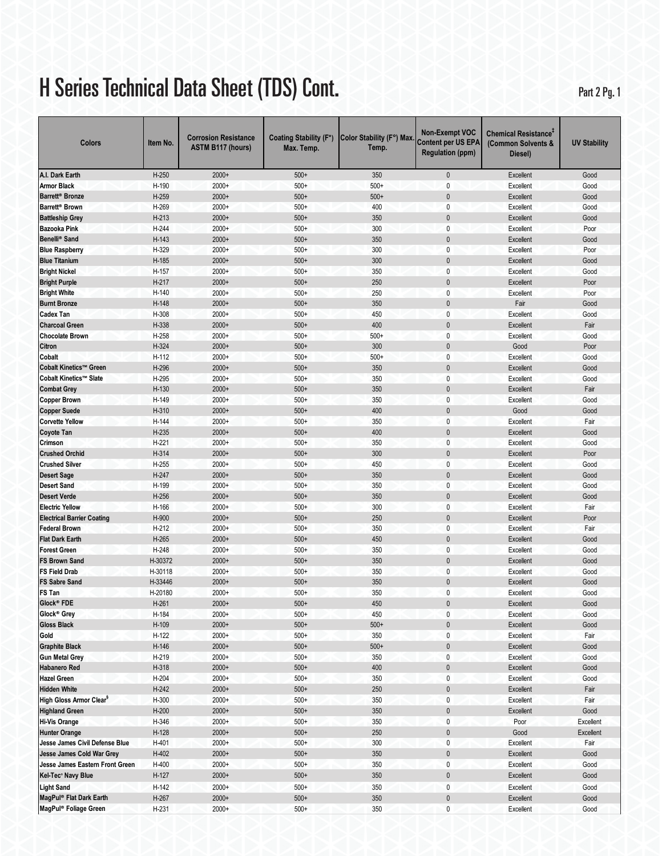# H Series Technical Data Sheet (TDS) Cont. Part 2 Pg. 1

| Colors                                        | Item No. | <b>Corrosion Resistance</b><br><b>ASTM B117 (hours)</b> | Coating Stability (F°)<br>Max. Temp. | Color Stability (F°) Max.<br>Temp. | <b>Non-Exempt VOC</b><br><b>Content per US EPA</b><br><b>Regulation (ppm)</b> | <b>Chemical Resistance<sup>T</sup></b><br>(Common Solvents &<br>Diesel) | <b>UV Stability</b> |
|-----------------------------------------------|----------|---------------------------------------------------------|--------------------------------------|------------------------------------|-------------------------------------------------------------------------------|-------------------------------------------------------------------------|---------------------|
| A.I. Dark Earth                               | $H-250$  | $2000+$                                                 | $500+$                               | 350                                | $\mathbf 0$                                                                   | Excellent                                                               | Good                |
| <b>Armor Black</b>                            | H-190    | 2000+                                                   | $500+$                               | $500+$                             | 0                                                                             | Excellent                                                               | Good                |
| Barrett <sup>®</sup> Bronze                   | H-259    | 2000+                                                   | $500+$                               | $500+$                             | $\mathbf 0$                                                                   | Excellent                                                               | Good                |
| Barrett <sup>®</sup> Brown                    | H-269    | $2000+$                                                 | $500+$                               | 400                                | 0                                                                             | Excellent                                                               | Good                |
| <b>Battleship Grey</b>                        | $H-213$  | $2000+$                                                 | $500+$                               | 350                                | $\mathbf 0$                                                                   | Excellent                                                               | Good                |
| <b>Bazooka Pink</b>                           | $H-244$  | $2000+$                                                 | $500+$                               | 300                                | $\mathbf{0}$                                                                  | Excellent                                                               | Poor                |
| Benelli <sup>®</sup> Sand                     | H-143    | $2000+$                                                 | $500+$                               | 350                                | $\mathbf 0$                                                                   | Excellent                                                               | Good                |
| <b>Blue Raspberry</b>                         | H-329    | $2000+$                                                 | $500+$                               | 300                                | $\mathbf{0}$                                                                  | Excellent                                                               | Poor                |
| <b>Blue Titanium</b>                          | H-185    | $2000+$                                                 | $500+$                               | 300                                | $\mathbf 0$                                                                   | <b>Excellent</b>                                                        | Good                |
| <b>Bright Nickel</b>                          | H-157    | $2000+$                                                 | $500+$                               | 350                                | $\mathbf 0$                                                                   | Excellent                                                               | Good                |
| <b>Bright Purple</b>                          | $H-217$  | $2000+$                                                 | $500+$                               | 250                                | $\mathbf 0$                                                                   | Excellent                                                               | Poor                |
| <b>Bright White</b>                           | H-140    | $2000+$                                                 | $500+$                               | 250                                | $\mathbf 0$                                                                   | <b>Excellent</b>                                                        | Poor                |
| <b>Burnt Bronze</b>                           | H-148    | $2000+$                                                 | $500+$                               | 350                                | $\mathbf 0$                                                                   | Fair                                                                    | Good                |
| <b>Cadex Tan</b>                              | H-308    | $2000+$                                                 | $500+$                               | 450                                | 0                                                                             | Excellent                                                               | Good                |
| <b>Charcoal Green</b>                         | H-338    | $2000+$                                                 | $500+$                               | 400                                | $\mathbf{0}$                                                                  | Excellent                                                               | Fair                |
| <b>Chocolate Brown</b>                        | H-258    | $2000+$                                                 | $500+$                               | $500+$                             | $\mathbf{0}$                                                                  | Excellent                                                               | Good                |
| Citron                                        | H-324    | $2000+$                                                 | $500+$                               | 300                                | $\pmb{0}$                                                                     | Good                                                                    | Poor                |
| Cobalt                                        | $H-112$  | $2000+$                                                 | $500+$                               | $500+$                             | $\mathbf 0$                                                                   | Excellent                                                               | Good                |
| Cobalt Kinetics™ Green                        | H-296    | $2000+$                                                 | $500+$                               | 350                                | $\mathbf 0$                                                                   | Excellent                                                               | Good                |
| Cobalt Kinetics™ Slate                        | H-295    | $2000+$                                                 | $500+$                               | 350                                | $\pmb{0}$                                                                     | Excellent                                                               | Good                |
| <b>Combat Grey</b>                            | H-130    | $2000+$                                                 | $500+$                               | 350                                | $\mathbf 0$                                                                   | Excellent                                                               | Fair                |
|                                               | H-149    | $2000+$                                                 | $500+$                               | 350                                | $\mathbf 0$                                                                   |                                                                         |                     |
| <b>Copper Brown</b>                           | H-310    | $2000+$                                                 | $500+$                               | 400                                | $\mathbf 0$                                                                   | Excellent<br>Good                                                       | Good<br>Good        |
| <b>Copper Suede</b><br><b>Corvette Yellow</b> | H-144    | $2000+$                                                 | $500+$                               | 350                                | 0                                                                             | Excellent                                                               | Fair                |
|                                               |          |                                                         |                                      | 400                                |                                                                               |                                                                         |                     |
| <b>Coyote Tan</b>                             | H-235    | $2000+$                                                 | $500+$                               |                                    | $\mathbf 0$                                                                   | Excellent                                                               | Good                |
| Crimson                                       | H-221    | $2000+$                                                 | $500+$                               | 350                                | $\mathbf{0}$                                                                  | Excellent                                                               | Good                |
| <b>Crushed Orchid</b>                         | H-314    | $2000+$                                                 | $500+$                               | 300                                | $\mathbf{0}$                                                                  | Excellent                                                               | Poor                |
| <b>Crushed Silver</b>                         | $H-255$  | $2000+$                                                 | $500+$                               | 450                                | $\mathbf{0}$                                                                  | <b>Excellent</b>                                                        | Good                |
| <b>Desert Sage</b>                            | H-247    | $2000+$                                                 | $500+$                               | 350                                | $\mathbf 0$                                                                   | Excellent                                                               | Good                |
| <b>Desert Sand</b>                            | H-199    | $2000+$                                                 | $500+$                               | 350                                | $\mathbf 0$                                                                   | <b>Excellent</b>                                                        | Good                |
| <b>Desert Verde</b>                           | $H-256$  | $2000+$                                                 | $500+$                               | 350                                | $\mathbf 0$                                                                   | Excellent                                                               | Good                |
| <b>Electric Yellow</b>                        | H-166    | $2000+$                                                 | $500+$                               | 300                                | 0                                                                             | Excellent                                                               | Fair                |
| <b>Electrical Barrier Coating</b>             | H-900    | $2000+$                                                 | $500+$                               | 250                                | 0                                                                             | Excellent                                                               | Poor                |
| <b>Federal Brown</b>                          | $H-212$  | $2000+$                                                 | $500+$                               | 350                                | 0                                                                             | Excellent                                                               | Fair                |
| <b>Flat Dark Earth</b>                        | H-265    | $2000+$                                                 | $500+$                               | 450                                | $\mathbf 0$                                                                   | Excellent                                                               | Good                |
| <b>Forest Green</b>                           | H-248    | $2000+$                                                 | $500+$                               | 350                                | $\mathbf 0$                                                                   | Excellent                                                               | Good                |
| <b>FS Brown Sand</b>                          | H-30372  | $2000+$                                                 | $500+$                               | 350                                | $\mathbf 0$                                                                   | Excellent                                                               | Good                |
| <b>FS Field Drab</b>                          | H-30118  | $2000+$                                                 | $500+$                               | 350                                | $\mathbf{0}$                                                                  | Excellent                                                               | Good                |
| <b>FS Sabre Sand</b>                          | H-33446  | $2000+$                                                 | $500+$                               | 350                                | 0                                                                             | Excellent                                                               | Good                |
| FS Tan                                        | H-20180  | 2000+                                                   | $500+$                               | 350                                | 0                                                                             | Excellent                                                               | Good                |
| Glock <sup>®</sup> FDE                        | $H-261$  | $2000+$                                                 | $500+$                               | 450                                | $\Omega$                                                                      | Excellent                                                               | Good                |
| Glock® Grey                                   | H-184    | $2000+$                                                 | $500+$                               | 450                                | $\pmb{0}$                                                                     | Excellent                                                               | Good                |
| <b>Gloss Black</b>                            | H-109    | $2000+$                                                 | $500+$                               | $500+$                             | $\pmb{0}$                                                                     | Excellent                                                               | Good                |
| Gold                                          | $H-122$  | $2000+$                                                 | $500+$                               | 350                                | 0                                                                             | Excellent                                                               | Fair                |
| <b>Graphite Black</b>                         | $H-146$  | $2000+$                                                 | $500+$                               | $500+$                             | $\pmb{0}$                                                                     | Excellent                                                               | Good                |
| <b>Gun Metal Grey</b>                         | H-219    | $2000+$                                                 | $500+$                               | 350                                | $\pmb{0}$                                                                     | Excellent                                                               | Good                |
| <b>Habanero Red</b>                           | H-318    | $2000+$                                                 | $500+$                               | 400                                | $\pmb{0}$                                                                     | Excellent                                                               | Good                |
| <b>Hazel Green</b>                            | $H-204$  | $2000+$                                                 | $500+$                               | 350                                | 0                                                                             | Excellent                                                               | Good                |
| <b>Hidden White</b>                           | $H-242$  | $2000+$                                                 | $500+$                               | 250                                | $\pmb{0}$                                                                     | Excellent                                                               | Fair                |
| High Gloss Armor Clear <sup>§</sup>           | H-300    | $2000+$                                                 | $500+$                               | 350                                | 0                                                                             | Excellent                                                               | Fair                |
| <b>Highland Green</b>                         | $H-200$  | $2000+$                                                 | $500+$                               | 350                                | $\pmb{0}$                                                                     | Excellent                                                               | Good                |
| <b>Hi-Vis Orange</b>                          | H-346    | $2000+$                                                 | $500+$                               | 350                                | $\pmb{0}$                                                                     | Poor                                                                    | Excellent           |
| <b>Hunter Orange</b>                          | $H-128$  | 2000+                                                   | $500+$                               | 250                                | $\pmb{0}$                                                                     | Good                                                                    | Excellent           |
| Jesse James Civil Defense Blue                | H-401    | $2000+$                                                 | $500+$                               | 300                                | $\pmb{0}$                                                                     | Excellent                                                               | Fair                |
| Jesse James Cold War Grey                     | $H-402$  | $2000+$                                                 | $500+$                               | 350                                | $\pmb{0}$                                                                     | Excellent                                                               | Good                |
| Jesse James Eastern Front Green               | H-400    | $2000+$                                                 | $500+$                               | 350                                | $\pmb{0}$                                                                     | Excellent                                                               | Good                |
| Kel-Tec <sup>®</sup> Navy Blue                | $H-127$  | $2000+$                                                 | $500+$                               | 350                                | $\pmb{0}$                                                                     | Excellent                                                               | Good                |
| <b>Light Sand</b>                             | H-142    | $2000+$                                                 | $500+$                               | 350                                | $\pmb{0}$                                                                     | Excellent                                                               | Good                |
| MagPul® Flat Dark Earth                       | H-267    | $2000+$                                                 | $500+$                               | 350                                | $\pmb{0}$                                                                     | Excellent                                                               | Good                |
| MagPul® Foliage Green                         | H-231    | $2000+$                                                 | $500+$                               | 350                                | 0                                                                             | Excellent                                                               | Good                |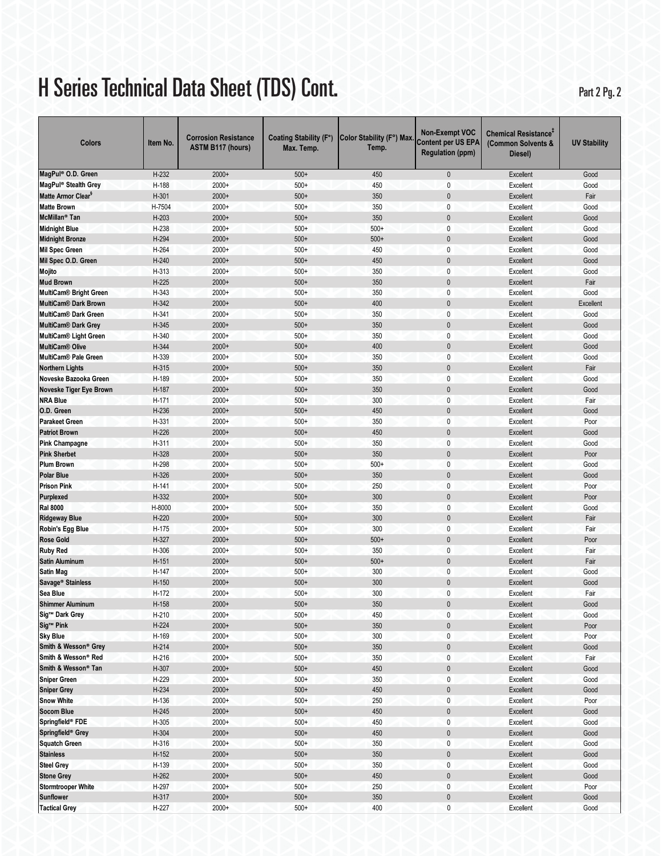# H Series Technical Data Sheet (TDS) Cont. Part 2 Pg. 2

| Colors                             | Item No. | <b>Corrosion Resistance</b><br><b>ASTM B117 (hours)</b> | Coating Stability (F°)<br>Max. Temp. | Color Stability (F°) Max.<br>Temp. | <b>Non-Exempt VOC</b><br><b>Content per US EPA</b><br><b>Regulation (ppm)</b> | Chemical Resistance <sup>+</sup><br>(Common Solvents &<br>Diesel) | <b>UV Stability</b> |
|------------------------------------|----------|---------------------------------------------------------|--------------------------------------|------------------------------------|-------------------------------------------------------------------------------|-------------------------------------------------------------------|---------------------|
| MagPul® O.D. Green                 | H-232    | $2000+$                                                 | $500+$                               | 450                                | 0                                                                             | Excellent                                                         | Good                |
| MagPul <sup>®</sup> Stealth Grey   | H-188    | $2000+$                                                 | $500+$                               | 450                                | 0                                                                             | Excellent                                                         | Good                |
| Matte Armor Clear <sup>s</sup>     | H-301    | $2000+$                                                 | $500+$                               | 350                                | $\mathbf{0}$                                                                  | <b>Excellent</b>                                                  | Fair                |
| <b>Matte Brown</b>                 | H-7504   | $2000+$                                                 | $500+$                               | 350                                | 0                                                                             | Excellent                                                         | Good                |
| McMillan <sup>®</sup> Tan          | $H-203$  | $2000+$                                                 | $500+$                               | 350                                | $\mathbf{0}$                                                                  | <b>Excellent</b>                                                  | Good                |
| <b>Midnight Blue</b>               | H-238    | $2000+$                                                 | $500+$                               | $500+$                             | 0                                                                             | Excellent                                                         | Good                |
| <b>Midnight Bronze</b>             | H-294    | $2000+$                                                 | $500+$                               | $500+$                             | $\mathbf{0}$                                                                  | <b>Excellent</b>                                                  | Good                |
| <b>Mil Spec Green</b>              | H-264    | $2000+$                                                 | $500+$                               | 450                                | 0                                                                             | Excellent                                                         | Good                |
| Mil Spec O.D. Green                | $H-240$  | $2000+$                                                 | $500+$                               | 450                                | $\mathbf 0$                                                                   | Excellent                                                         | Good                |
| Mojito                             | H-313    | $2000+$                                                 | $500+$                               | 350                                | 0                                                                             | Excellent                                                         | Good                |
| <b>Mud Brown</b>                   | $H-225$  | $2000+$                                                 | $500+$                               | 350                                | $\pmb{0}$                                                                     | <b>Excellent</b>                                                  | Fair                |
| MultiCam <sup>®</sup> Bright Green | H-343    | $2000+$                                                 | $500+$                               | 350                                | 0                                                                             | Excellent                                                         | Good                |
| <b>MultiCam® Dark Brown</b>        | H-342    | $2000+$                                                 | $500+$                               | 400                                | $\pmb{0}$                                                                     | <b>Excellent</b>                                                  | Excellent           |
| <b>MultiCam® Dark Green</b>        | H-341    | $2000+$                                                 | $500+$                               | 350                                | 0                                                                             | Excellent                                                         | Good                |
| <b>MultiCam® Dark Grey</b>         | H-345    | $2000+$                                                 | $500+$                               | 350                                | 0                                                                             | Excellent                                                         | Good                |
| MultiCam® Light Green              | H-340    | $2000+$                                                 | $500+$                               | 350                                | $\mathbf{0}$                                                                  | Excellent                                                         | Good                |
| <b>MultiCam<sup>®</sup> Olive</b>  | H-344    | $2000+$                                                 | $500+$                               | 400                                | $\pmb{0}$                                                                     | <b>Excellent</b>                                                  | Good                |
| <b>MultiCam® Pale Green</b>        | H-339    | $2000+$                                                 | $500+$                               | 350                                | 0                                                                             | Excellent                                                         | Good                |
| <b>Northern Lights</b>             | H-315    | $2000+$                                                 | $500+$                               | 350                                | $\mathbf 0$                                                                   | Excellent                                                         | Fair                |
| Noveske Bazooka Green              | H-189    | $2000+$                                                 | $500+$                               | 350                                | 0                                                                             | Excellent                                                         | Good                |
| Noveske Tiger Eye Brown            | H-187    | $2000+$                                                 | $500+$                               | 350                                | $\pmb{0}$                                                                     | <b>Excellent</b>                                                  | Good                |
| <b>NRA Blue</b>                    | H-171    | $2000+$                                                 | $500+$                               | 300                                | 0                                                                             | Excellent                                                         | Fair                |
| O.D. Green                         | H-236    | $2000+$                                                 | $500+$                               | 450                                | $\mathbf{0}$                                                                  | <b>Excellent</b>                                                  | Good                |
| <b>Parakeet Green</b>              | H-331    | $2000+$                                                 | $500+$                               | 350                                | 0                                                                             | Excellent                                                         | Poor                |
| <b>Patriot Brown</b>               | $H-226$  | $2000+$                                                 | $500+$                               | 450                                | $\mathbf 0$                                                                   | Excellent                                                         | Good                |
| <b>Pink Champagne</b>              | H-311    | $2000+$                                                 | $500+$                               | 350                                | 0                                                                             | Excellent                                                         | Good                |
| <b>Pink Sherbet</b>                | H-328    | $2000+$                                                 | $500+$                               | 350                                | $\mathbf 0$                                                                   | <b>Excellent</b>                                                  | Poor                |
| <b>Plum Brown</b>                  | H-298    | $2000+$                                                 | $500+$                               | $500+$                             | 0                                                                             | Excellent                                                         | Good                |
| <b>Polar Blue</b>                  | H-326    | $2000+$                                                 | $500+$                               | 350                                | $\pmb{0}$                                                                     | <b>Excellent</b>                                                  | Good                |
| <b>Prison Pink</b>                 | H-141    | $2000+$                                                 | $500+$                               | 250                                | 0                                                                             | Excellent                                                         | Poor                |
| Purplexed                          | H-332    | $2000+$                                                 | $500+$                               | 300                                | 0                                                                             | <b>Excellent</b>                                                  | Poor                |
| <b>Ral 8000</b>                    | H-8000   | $2000+$                                                 | $500+$                               | 350                                | 0                                                                             | Excellent                                                         | Good                |
| <b>Ridgeway Blue</b>               | $H-220$  | $2000+$                                                 | $500+$                               | 300                                | $\mathbf{0}$                                                                  | <b>Excellent</b>                                                  | Fair                |
| Robin's Egg Blue                   | H-175    | $2000+$                                                 | $500+$                               | 300                                | 0                                                                             | Excellent                                                         | Fair                |
| <b>Rose Gold</b>                   | H-327    | $2000+$                                                 | $500+$                               | $500+$                             | $\mathbf 0$                                                                   | <b>Excellent</b>                                                  | Poor                |
| <b>Ruby Red</b>                    | H-306    | $2000+$                                                 | $500+$                               | 350                                | 0                                                                             | Excellent                                                         | Fair                |
| <b>Satin Aluminum</b>              | H-151    | $2000+$                                                 | $500+$                               | $500+$                             | $\pmb{0}$                                                                     | Excellent                                                         | Fair                |
| Satin Mag                          | H-147    | $2000+$                                                 | $500+$                               | 300                                | 0                                                                             | Excellent                                                         | Good                |
| Savage <sup>®</sup> Stainless      | H-150    | $2000+$                                                 | $500+$                               | 300                                | $\mathbf{0}$                                                                  | <b>Excellent</b>                                                  | Good                |
| Sea Blue                           | H-172    | $2000+$                                                 | $500+$                               | 300                                | 0                                                                             | Excellent                                                         | Fair                |
| <b>Shimmer Aluminum</b>            | $H-158$  | $2000+$                                                 | $500+$                               | 350                                | $\Omega$                                                                      | Excellent                                                         | Good                |
| Sig™ Dark Grey                     | $H-210$  | $2000+$                                                 | $500+$                               | 450                                | $\pmb{0}$                                                                     | Excellent                                                         | Good                |
| Sig™ Pink                          | $H-224$  | $2000+$                                                 | $500+$                               | 350                                | $\pmb{0}$                                                                     | Excellent                                                         | Poor                |
| <b>Sky Blue</b>                    | H-169    | $2000+$                                                 | $500+$                               | 300                                | 0                                                                             | Excellent                                                         | Poor                |
| Smith & Wesson® Grey               | $H-214$  | $2000+$                                                 | $500+$                               | 350                                | $\pmb{0}$                                                                     | Excellent                                                         | Good                |
| Smith & Wesson® Red                | $H-216$  | $2000+$                                                 | $500+$                               | 350                                | $\pmb{0}$                                                                     | Excellent                                                         | Fair                |
| Smith & Wesson® Tan                | H-307    | $2000+$                                                 | $500+$                               | 450                                | $\pmb{0}$                                                                     | Excellent                                                         | Good                |
| <b>Sniper Green</b>                | H-229    | $2000+$                                                 | $500+$                               | 350                                | 0                                                                             | Excellent                                                         | Good                |
| <b>Sniper Grey</b>                 | H-234    | $2000+$                                                 | $500+$                               | 450                                | 0                                                                             | Excellent                                                         | Good                |
| <b>Snow White</b>                  | H-136    | $2000+$                                                 | $500+$                               | 250                                | 0                                                                             | Excellent                                                         | Poor                |
| <b>Socom Blue</b>                  | $H-245$  | $2000+$                                                 | $500+$                               | 450                                | 0                                                                             | Excellent                                                         | Good                |
| Springfield® FDE                   | H-305    | $2000+$                                                 | $500+$                               | 450                                | 0                                                                             | Excellent                                                         | Good                |
| Springfield® Grey                  | H-304    | $2000+$                                                 | $500+$                               | 450                                | $\pmb{0}$                                                                     | Excellent                                                         | Good                |
| <b>Squatch Green</b>               | H-316    | $2000+$                                                 | $500+$                               | 350                                | 0                                                                             | Excellent                                                         | Good                |
| <b>Stainless</b>                   | $H-152$  | $2000+$                                                 | $500+$                               | 350                                | 0                                                                             | Excellent                                                         | Good                |
| <b>Steel Grey</b>                  | H-139    | $2000+$                                                 | $500+$                               | 350                                | 0                                                                             | Excellent                                                         | Good                |
| <b>Stone Grey</b>                  | $H-262$  | $2000+$                                                 | $500+$                               | 450                                | 0                                                                             | Excellent                                                         | Good                |
| <b>Stormtrooper White</b>          | H-297    | $2000+$                                                 | $500+$                               | 250                                | 0                                                                             | Excellent                                                         | Poor                |
| <b>Sunflower</b>                   | H-317    | $2000+$                                                 | $500+$                               | 350                                | $\pmb{0}$                                                                     | Excellent                                                         | Good                |
| <b>Tactical Grey</b>               | H-227    | $2000+$                                                 | $500+$                               | 400                                | 0                                                                             | Excellent                                                         | Good                |
|                                    |          |                                                         |                                      |                                    |                                                                               |                                                                   |                     |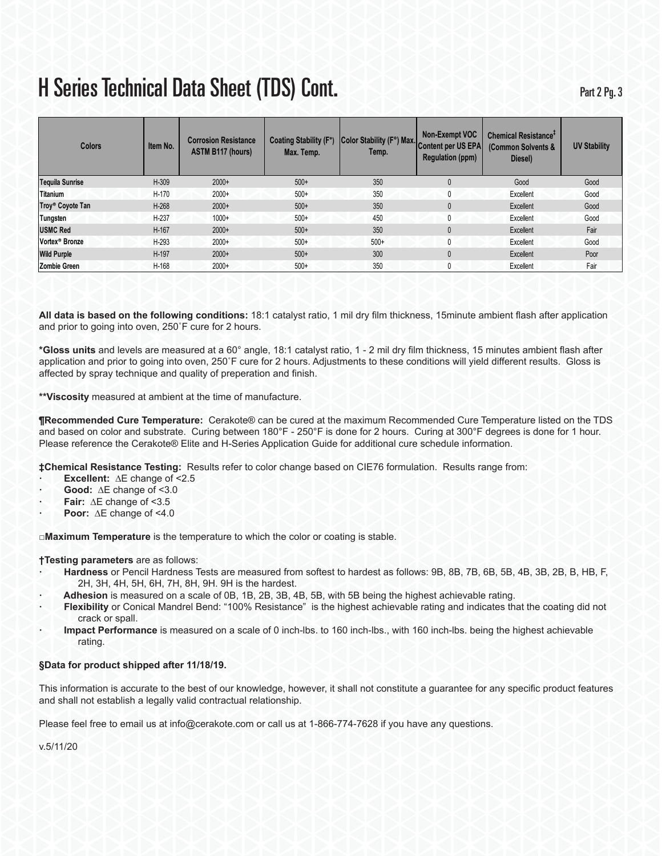| <b>Colors</b>                | Item No. | <b>Corrosion Resistance</b><br><b>ASTM B117 (hours)</b> | Coating Stability (F°)<br>Max. Temp. | Color Stability (F°) Max.<br>Temp. | Non-Exempt VOC<br>Content per US EPA<br><b>Regulation (ppm)</b> | Chemical Resistance <sup>+</sup><br>(Common Solvents &<br>Diesel) | <b>UV Stability</b> |
|------------------------------|----------|---------------------------------------------------------|--------------------------------------|------------------------------------|-----------------------------------------------------------------|-------------------------------------------------------------------|---------------------|
| <b>Tequila Sunrise</b>       | H-309    | $2000+$                                                 | $500+$                               | 350                                | 0                                                               | Good                                                              | Good                |
| <b>Titanium</b>              | H-170    | $2000+$                                                 | $500+$                               | 350                                | 0                                                               | Excellent                                                         | Good                |
| Troy <sup>®</sup> Coyote Tan | H-268    | $2000+$                                                 | $500+$                               | 350                                | 0                                                               | Excellent                                                         | Good                |
| Tungsten                     | $H-237$  | $1000+$                                                 | $500+$                               | 450                                | 0                                                               | Excellent                                                         | Good                |
| <b>USMC Red</b>              | H-167    | $2000+$                                                 | $500+$                               | 350                                | 0                                                               | Excellent                                                         | Fair                |
| Vortex <sup>®</sup> Bronze   | $H-293$  | $2000+$                                                 | $500+$                               | $500+$                             | 0                                                               | Excellent                                                         | Good                |
| <b>Wild Purple</b>           | H-197    | $2000+$                                                 | $500+$                               | 300                                | 0                                                               | Excellent                                                         | Poor                |
| <b>Zombie Green</b>          | H-168    | $2000+$                                                 | $500+$                               | 350                                | 0                                                               | Excellent                                                         | Fair                |

**All data is based on the following conditions:** 18:1 catalyst ratio, 1 mil dry film thickness, 15minute ambient flash after application and prior to going into oven, 250˚F cure for 2 hours.

**\*Gloss units** and levels are measured at a 60° angle, 18:1 catalyst ratio, 1 - 2 mil dry film thickness, 15 minutes ambient flash after application and prior to going into oven, 250˚F cure for 2 hours. Adjustments to these conditions will yield different results. Gloss is affected by spray technique and quality of preperation and finish.

**\*\*Viscosity** measured at ambient at the time of manufacture.

**¶Recommended Cure Temperature:** Cerakote® can be cured at the maximum Recommended Cure Temperature listed on the TDS and based on color and substrate. Curing between 180°F - 250°F is done for 2 hours. Curing at 300°F degrees is done for 1 hour. Please reference the Cerakote® Elite and H-Series Application Guide for additional cure schedule information.

**‡Chemical Resistance Testing:** Results refer to color change based on CIE76 formulation. Results range from:

- **· Excellent:** ∆E change of <2.5
- **· Good:** ∆E change of <3.0
- **· Fair:** ∆E change of <3.5
- **· Poor:** ∆E change of <4.0

**□Maximum Temperature** is the temperature to which the color or coating is stable.

### **†Testing parameters** are as follows:

- **· Hardness** or Pencil Hardness Tests are measured from softest to hardest as follows: 9B, 8B, 7B, 6B, 5B, 4B, 3B, 2B, B, HB, F, 2H, 3H, 4H, 5H, 6H, 7H, 8H, 9H. 9H is the hardest.
- **· Adhesion** is measured on a scale of 0B, 1B, 2B, 3B, 4B, 5B, with 5B being the highest achievable rating.
- **· Flexibility** or Conical Mandrel Bend: "100% Resistance" is the highest achievable rating and indicates that the coating did not crack or spall.
- **· Impact Performance** is measured on a scale of 0 inch-lbs. to 160 inch-lbs., with 160 inch-lbs. being the highest achievable rating.

### **§Data for product shipped after 11/18/19.**

This information is accurate to the best of our knowledge, however, it shall not constitute a guarantee for any specific product features and shall not establish a legally valid contractual relationship.

Please feel free to email us at info@cerakote.com or call us at 1-866-774-7628 if you have any questions.

v.5/11/20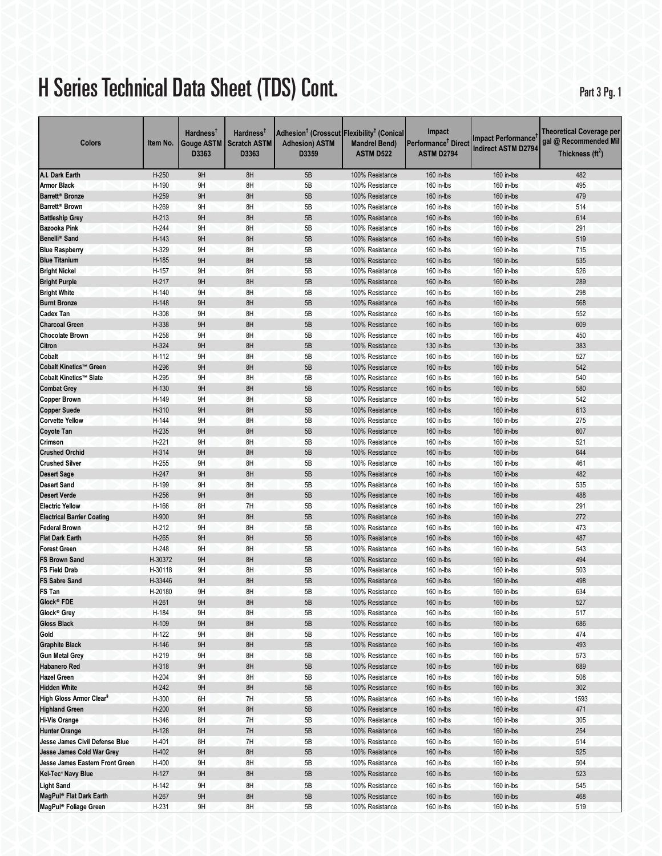Part 3 Pg. 1

| Colors                                                    | Item No.       | <b>Hardness</b><br>Gouge ASTM<br>D3363 | Hardness <sup>T</sup><br><b>Scratch ASTM</b><br>D3363 | Adhesion <sup>†</sup> (Crosscut Flexibility <sup>†</sup> (Conical<br><b>Adhesion) ASTM</b><br>D3359 | <b>Mandrel Bend)</b><br><b>ASTM D522</b> | Impact<br>Performance <sup>†</sup> Direct<br><b>ASTM D2794</b> | <b>Impact Performance</b><br><b>Indirect ASTM D2794</b> | Theoretical Coverage per<br>gal @ Recommended Mil<br>Thickness $(\text{ft}^2)$ |
|-----------------------------------------------------------|----------------|----------------------------------------|-------------------------------------------------------|-----------------------------------------------------------------------------------------------------|------------------------------------------|----------------------------------------------------------------|---------------------------------------------------------|--------------------------------------------------------------------------------|
| A.I. Dark Earth                                           | $H-250$        | 9H                                     | 8H                                                    | 5B                                                                                                  | 100% Resistance                          | 160 in-lbs                                                     | 160 in-lbs                                              | 482                                                                            |
| <b>Armor Black</b>                                        | H-190          | 9H                                     | 8H                                                    | 5B                                                                                                  | 100% Resistance                          | 160 in-lbs                                                     | 160 in-lbs                                              | 495                                                                            |
| Barrett <sup>®</sup> Bronze                               | H-259          | 9H                                     | 8H                                                    | 5B                                                                                                  | 100% Resistance                          | 160 in-lbs                                                     | 160 in-lbs                                              | 479                                                                            |
| Barrett <sup>®</sup> Brown                                | H-269          | 9H                                     | 8H                                                    | 5B                                                                                                  | 100% Resistance                          | 160 in-lbs                                                     | 160 in-lbs                                              | 514                                                                            |
| <b>Battleship Grey</b>                                    | $H-213$        | 9H                                     | 8H                                                    | 5B                                                                                                  | 100% Resistance                          | 160 in-lbs                                                     | 160 in-lbs                                              | 614                                                                            |
| Bazooka Pink                                              | H-244          | 9H                                     | 8H                                                    | 5B                                                                                                  | 100% Resistance                          | 160 in-lbs                                                     | 160 in-lbs                                              | 291                                                                            |
| Benelli <sup>®</sup> Sand                                 | H-143          | 9H                                     | 8H                                                    | 5B                                                                                                  | 100% Resistance                          | 160 in-lbs                                                     | 160 in-lbs                                              | 519                                                                            |
| <b>Blue Raspberry</b>                                     | H-329          | 9H                                     | 8H                                                    | 5B                                                                                                  | 100% Resistance                          | 160 in-lbs                                                     | 160 in-lbs                                              | 715                                                                            |
| <b>Blue Titanium</b>                                      | H-185          | 9H                                     | 8H                                                    | 5B                                                                                                  | 100% Resistance                          | 160 in-lbs                                                     | 160 in-lbs                                              | 535                                                                            |
| <b>Bright Nickel</b>                                      | H-157          | 9H                                     | 8H                                                    | 5B                                                                                                  | 100% Resistance                          | 160 in-lbs                                                     | 160 in-lbs                                              | 526                                                                            |
| <b>Bright Purple</b>                                      | H-217          | 9H                                     | 8H                                                    | 5B                                                                                                  | 100% Resistance                          | 160 in-lbs                                                     | 160 in-lbs                                              | 289                                                                            |
| <b>Bright White</b>                                       | H-140          | 9H                                     | 8H                                                    | 5B                                                                                                  | 100% Resistance                          | 160 in-lbs                                                     | 160 in-lbs                                              | 298                                                                            |
| <b>Burnt Bronze</b>                                       | H-148          | 9H                                     | 8H                                                    | 5B                                                                                                  | 100% Resistance                          | 160 in-lbs                                                     | 160 in-lbs                                              | 568                                                                            |
| <b>Cadex Tan</b>                                          | H-308          | 9H                                     | 8H                                                    | 5B                                                                                                  | 100% Resistance                          | 160 in-lbs                                                     | 160 in-lbs                                              | 552                                                                            |
| <b>Charcoal Green</b>                                     | H-338          | 9H                                     | 8H                                                    | 5B                                                                                                  | 100% Resistance                          | 160 in-lbs                                                     | 160 in-lbs                                              | 609                                                                            |
| <b>Chocolate Brown</b>                                    | H-258          | 9H                                     | 8H                                                    | 5B                                                                                                  | 100% Resistance                          | 160 in-lbs                                                     | 160 in-lbs                                              | 450                                                                            |
| Citron                                                    | H-324          | 9H                                     | 8H                                                    | 5B                                                                                                  | 100% Resistance                          | 130 in-lbs                                                     | 130 in-lbs                                              | 383                                                                            |
| Cobalt                                                    | H-112          | 9H                                     | 8H                                                    | 5B                                                                                                  | 100% Resistance                          | 160 in-lbs                                                     | 160 in-lbs                                              | 527                                                                            |
| Cobalt Kinetics™ Green                                    | H-296          | 9H                                     | 8H                                                    | 5B                                                                                                  | 100% Resistance                          | 160 in-lbs                                                     | 160 in-lbs                                              | 542                                                                            |
| Cobalt Kinetics™ Slate                                    | H-295          | 9H                                     | 8H                                                    | 5B                                                                                                  | 100% Resistance                          | 160 in-lbs                                                     | 160 in-lbs                                              | 540                                                                            |
| <b>Combat Grey</b>                                        | H-130          | 9H                                     | 8H                                                    | 5B                                                                                                  | 100% Resistance                          | 160 in-lbs                                                     | 160 in-lbs                                              | 580                                                                            |
| <b>Copper Brown</b>                                       | H-149          | 9H                                     | 8H                                                    | 5B                                                                                                  | 100% Resistance                          | 160 in-lbs                                                     | 160 in-lbs                                              | 542                                                                            |
| <b>Copper Suede</b>                                       | H-310          | 9H                                     | 8H                                                    | 5B                                                                                                  | 100% Resistance                          | 160 in-lbs                                                     | 160 in-lbs                                              | 613                                                                            |
| <b>Corvette Yellow</b>                                    | H-144          | 9H                                     | 8H                                                    | 5B                                                                                                  | 100% Resistance                          | 160 in-lbs                                                     | 160 in-lbs                                              | 275                                                                            |
| <b>Coyote Tan</b>                                         | H-235          | 9H                                     | 8H                                                    | 5B                                                                                                  | 100% Resistance                          | 160 in-lbs                                                     | 160 in-lbs                                              | 607                                                                            |
| Crimson                                                   | $H-221$        | 9H                                     | 8H                                                    | 5B                                                                                                  | 100% Resistance                          | 160 in-lbs                                                     | 160 in-lbs                                              | 521                                                                            |
| <b>Crushed Orchid</b>                                     | H-314          | 9H                                     | 8H                                                    | 5B                                                                                                  | 100% Resistance                          | 160 in-lbs                                                     | 160 in-lbs                                              | 644                                                                            |
| <b>Crushed Silver</b>                                     | H-255          | 9H                                     | 8H                                                    | 5B                                                                                                  | 100% Resistance                          | 160 in-lbs                                                     | 160 in-lbs                                              | 461                                                                            |
| <b>Desert Sage</b>                                        | H-247          | 9H                                     | 8H                                                    | 5B                                                                                                  | 100% Resistance                          | 160 in-lbs                                                     | 160 in-lbs                                              | 482                                                                            |
| <b>Desert Sand</b>                                        | H-199          | 9Η                                     | 8H                                                    | 5B                                                                                                  | 100% Resistance                          | 160 in-lbs                                                     | 160 in-lbs                                              | 535                                                                            |
| <b>Desert Verde</b>                                       | $H-256$        | 9H                                     | 8H                                                    | 5B<br>5B                                                                                            | 100% Resistance                          | 160 in-lbs                                                     | 160 in-lbs                                              | 488                                                                            |
| <b>Electric Yellow</b>                                    | H-166          | 8H<br>9H                               | 7H<br>8H                                              |                                                                                                     | 100% Resistance                          | 160 in-lbs                                                     | 160 in-lbs                                              | 291<br>272                                                                     |
| <b>Electrical Barrier Coating</b><br><b>Federal Brown</b> | H-900<br>H-212 | 9H                                     | 8H                                                    | 5B<br>5B                                                                                            | 100% Resistance<br>100% Resistance       | 160 in-lbs                                                     | 160 in-lbs<br>160 in-lbs                                | 473                                                                            |
| <b>Flat Dark Earth</b>                                    | H-265          | 9H                                     | 8H                                                    | 5B                                                                                                  | 100% Resistance                          | 160 in-lbs<br>160 in-lbs                                       | 160 in-lbs                                              | 487                                                                            |
| <b>Forest Green</b>                                       | H-248          | 9H                                     | 8H                                                    | 5B                                                                                                  | 100% Resistance                          | 160 in-lbs                                                     | 160 in-lbs                                              | 543                                                                            |
| <b>FS Brown Sand</b>                                      | H-30372        | 9H                                     | 8H                                                    | 5B                                                                                                  | 100% Resistance                          | 160 in-lbs                                                     | 160 in-lbs                                              | 494                                                                            |
| <b>FS Field Drab</b>                                      | H-30118        | 9H                                     | 8H                                                    | 5B                                                                                                  | 100% Resistance                          | 160 in-lbs                                                     | 160 in-lbs                                              | 503                                                                            |
| <b>FS Sabre Sand</b>                                      | H-33446        | 9H                                     | 8H                                                    | 5B                                                                                                  | 100% Resistance                          | 160 in-lbs                                                     | 160 in-lbs                                              | 498                                                                            |
| FS Tan                                                    | H-20180        | 9H                                     | 8H                                                    | 5B                                                                                                  | 100% Resistance                          | 160 in-lbs                                                     | 160 in-lbs                                              | 634                                                                            |
| Glock® FDE                                                | $H-261$        | 9H                                     | 8H                                                    | 5B                                                                                                  | 100% Resistance                          | 160 in-lbs                                                     | 160 in-lbs                                              | 527                                                                            |
| Glock <sup>®</sup> Grey                                   | H-184          | 9H                                     | 8H                                                    | 5B                                                                                                  | 100% Resistance                          | 160 in-lbs                                                     | 160 in-lbs                                              | 517                                                                            |
| <b>Gloss Black</b>                                        | H-109          | 9H                                     | 8H                                                    | 5B                                                                                                  | 100% Resistance                          | 160 in-lbs                                                     | 160 in-lbs                                              | 686                                                                            |
| Gold                                                      | H-122          | 9H                                     | 8H                                                    | 5B                                                                                                  | 100% Resistance                          | 160 in-lbs                                                     | 160 in-lbs                                              | 474                                                                            |
| <b>Graphite Black</b>                                     | H-146          | 9H                                     | $8H$                                                  | 5B                                                                                                  | 100% Resistance                          | 160 in-lbs                                                     | 160 in-lbs                                              | 493                                                                            |
| <b>Gun Metal Grey</b>                                     | H-219          | 9Η                                     | 8H                                                    | 5B                                                                                                  | 100% Resistance                          | 160 in-lbs                                                     | 160 in-lbs                                              | 573                                                                            |
| <b>Habanero Red</b>                                       | H-318          | 9H                                     | 8H                                                    | 5B                                                                                                  | 100% Resistance                          | 160 in-lbs                                                     | 160 in-lbs                                              | 689                                                                            |
| <b>Hazel Green</b>                                        | H-204          | 9H                                     | 8H                                                    | 5B                                                                                                  | 100% Resistance                          | 160 in-lbs                                                     | 160 in-lbs                                              | 508                                                                            |
| <b>Hidden White</b>                                       | H-242          | 9H                                     | 8H                                                    | 5B                                                                                                  | 100% Resistance                          | 160 in-lbs                                                     | 160 in-lbs                                              | 302                                                                            |
| High Gloss Armor Clear <sup>§</sup>                       | H-300          | 6H                                     | 7H                                                    | 5B                                                                                                  | 100% Resistance                          | 160 in-lbs                                                     | 160 in-lbs                                              | 1593                                                                           |
| <b>Highland Green</b>                                     | H-200          | 9H                                     | 8H                                                    | 5B                                                                                                  | 100% Resistance                          | 160 in-lbs                                                     | 160 in-lbs                                              | 471                                                                            |
| <b>Hi-Vis Orange</b>                                      | H-346          | 8Η                                     | 7H                                                    | 5B                                                                                                  | 100% Resistance                          | 160 in-lbs                                                     | 160 in-lbs                                              | 305                                                                            |
| <b>Hunter Orange</b>                                      | H-128          | 8H                                     | 7H                                                    | 5B                                                                                                  | 100% Resistance                          | 160 in-lbs                                                     | 160 in-lbs                                              | 254                                                                            |
| Jesse James Civil Defense Blue                            | H-401          | 8H                                     | 7H                                                    | 5B                                                                                                  | 100% Resistance                          | 160 in-lbs                                                     | 160 in-lbs                                              | 514                                                                            |
| Jesse James Cold War Grey                                 | H-402          | 9H                                     | 8H                                                    | 5B                                                                                                  | 100% Resistance                          | 160 in-lbs                                                     | 160 in-lbs                                              | 525                                                                            |
| Jesse James Eastern Front Green                           | H-400          | 9Η                                     | 8H                                                    | 5B                                                                                                  | 100% Resistance                          | 160 in-lbs                                                     | 160 in-lbs                                              | 504                                                                            |
| Kel-Tec <sup>®</sup> Navy Blue                            | H-127          | 9H                                     | 8H                                                    | 5B                                                                                                  | 100% Resistance                          | 160 in-lbs                                                     | 160 in-lbs                                              | 523                                                                            |
| <b>Light Sand</b>                                         | H-142          | 9H                                     | 8H                                                    | 5B                                                                                                  | 100% Resistance                          | 160 in-lbs                                                     | 160 in-lbs                                              | 545                                                                            |
| MagPul® Flat Dark Earth                                   | H-267          | 9H                                     | 8H                                                    | 5B                                                                                                  | 100% Resistance                          | 160 in-lbs                                                     | 160 in-lbs                                              | 468                                                                            |
| MagPul <sup>®</sup> Foliage Green                         | H-231          | 9H                                     | 8H                                                    | 5B                                                                                                  | 100% Resistance                          | 160 in-lbs                                                     | 160 in-lbs                                              | 519                                                                            |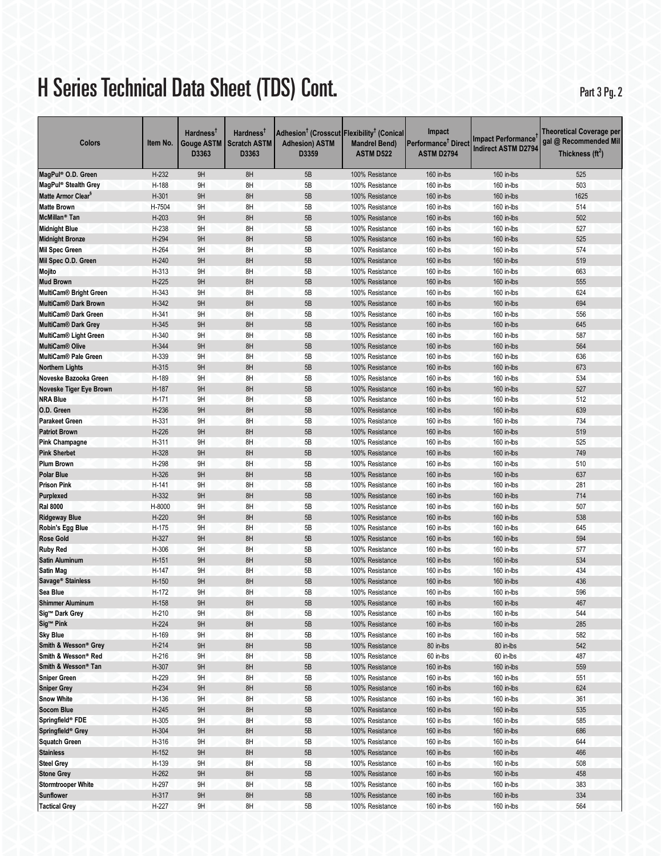Part 3 Pg. 2

| Colors                                   | Item No.        | Hardness <sup>T</sup><br>Gouge ASTM<br>D3363 | Hardness <sup>T</sup><br><b>Scratch ASTM</b><br>D3363 | Adhesion <sup>†</sup> (Crosscut Flexibility <sup>†</sup> (Conical<br><b>Adhesion) ASTM</b><br>D3359 | <b>Mandrel Bend)</b><br><b>ASTM D522</b> | Impact<br>Performance <sup>†</sup> Direct<br><b>ASTM D2794</b> | <b>Impact Performance</b><br><b>Indirect ASTM D2794</b> | <b>Theoretical Coverage per</b><br>gal @ Recommended Mil<br>Thickness $(\text{ft}^2)$ |
|------------------------------------------|-----------------|----------------------------------------------|-------------------------------------------------------|-----------------------------------------------------------------------------------------------------|------------------------------------------|----------------------------------------------------------------|---------------------------------------------------------|---------------------------------------------------------------------------------------|
| MagPul® O.D. Green                       | $H-232$         | 9H                                           | 8H                                                    | 5B                                                                                                  | 100% Resistance                          | 160 in-lbs                                                     | 160 in-lbs                                              | 525                                                                                   |
| MagPul <sup>®</sup> Stealth Grey         | H-188           | 9H                                           | 8H                                                    | 5B                                                                                                  | 100% Resistance                          | 160 in-lbs                                                     | 160 in-lbs                                              | 503                                                                                   |
| Matte Armor Clear <sup>s</sup>           | $H-301$         | 9H                                           | 8H                                                    | 5B                                                                                                  | 100% Resistance                          | 160 in-lbs                                                     | 160 in-lbs                                              | 1625                                                                                  |
| <b>Matte Brown</b>                       | H-7504          | 9H                                           | 8H                                                    | 5B                                                                                                  | 100% Resistance                          | 160 in-lbs                                                     | 160 in-lbs                                              | 514                                                                                   |
| McMillan <sup>®</sup> Tan                | $H-203$         | 9H                                           | 8H                                                    | 5B                                                                                                  | 100% Resistance                          | 160 in-lbs                                                     | 160 in-lbs                                              | 502                                                                                   |
| <b>Midnight Blue</b>                     | H-238           | 9H                                           | 8H                                                    | 5B                                                                                                  | 100% Resistance                          | 160 in-lbs                                                     | 160 in-lbs                                              | 527                                                                                   |
| <b>Midnight Bronze</b>                   | H-294           | 9H                                           | 8H                                                    | 5B                                                                                                  | 100% Resistance                          | 160 in-lbs                                                     | 160 in-lbs                                              | 525                                                                                   |
| <b>Mil Spec Green</b>                    | H-264           | 9H                                           | 8H                                                    | 5B                                                                                                  | 100% Resistance                          | 160 in-lbs                                                     | 160 in-lbs                                              | 574                                                                                   |
| Mil Spec O.D. Green                      | $H-240$         | 9H                                           | 8H                                                    | 5B                                                                                                  | 100% Resistance                          | 160 in-lbs                                                     | 160 in-lbs                                              | 519                                                                                   |
| Mojito                                   | H-313           | 9H                                           | 8H                                                    | 5B                                                                                                  | 100% Resistance                          | 160 in-lbs                                                     | 160 in-lbs                                              | 663                                                                                   |
| <b>Mud Brown</b>                         | $H-225$         | 9H                                           | 8H                                                    | 5B                                                                                                  | 100% Resistance                          | 160 in-lbs                                                     | 160 in-lbs                                              | 555                                                                                   |
| <b>MultiCam® Bright Green</b>            | H-343           | 9H                                           | 8H                                                    | 5B                                                                                                  | 100% Resistance                          | 160 in-lbs                                                     | 160 in-lbs                                              | 624                                                                                   |
| <b>MultiCam® Dark Brown</b>              | H-342           | 9H                                           | 8H                                                    | 5B                                                                                                  | 100% Resistance                          | 160 in-lbs                                                     | 160 in-lbs                                              | 694                                                                                   |
| <b>MultiCam® Dark Green</b>              | H-341           | 9H                                           | 8H                                                    | 5B                                                                                                  | 100% Resistance                          | 160 in-lbs                                                     | 160 in-lbs                                              | 556                                                                                   |
| MultiCam® Dark Grey                      | H-345           | 9H                                           | 8H                                                    | 5B                                                                                                  | 100% Resistance                          | 160 in-lbs                                                     | 160 in-lbs                                              | 645                                                                                   |
| <b>MultiCam® Light Green</b>             | H-340           | 9H                                           | 8H                                                    | 5B                                                                                                  | 100% Resistance                          | 160 in-lbs                                                     | 160 in-lbs                                              | 587                                                                                   |
| <b>MultiCam® Olive</b>                   | H-344           | 9H                                           | 8H                                                    | 5B                                                                                                  | 100% Resistance                          | 160 in-lbs                                                     | 160 in-lbs                                              | 564                                                                                   |
| MultiCam® Pale Green                     | H-339           | 9H                                           | 8H                                                    | 5B                                                                                                  | 100% Resistance                          | 160 in-lbs                                                     | 160 in-lbs                                              | 636                                                                                   |
| <b>Northern Lights</b>                   | H-315           | 9H                                           | 8H                                                    | 5B                                                                                                  | 100% Resistance                          | 160 in-lbs                                                     | 160 in-lbs                                              | 673                                                                                   |
| Noveske Bazooka Green                    | H-189           | 9H                                           | 8H                                                    | 5B                                                                                                  | 100% Resistance                          | 160 in-lbs                                                     | 160 in-lbs                                              | 534                                                                                   |
| Noveske Tiger Eye Brown                  | H-187           | 9H                                           | 8H                                                    | 5B                                                                                                  | 100% Resistance                          | 160 in-lbs                                                     | 160 in-lbs                                              | 527                                                                                   |
| <b>NRA Blue</b>                          | H-171           | 9H                                           | 8H                                                    | 5B                                                                                                  | 100% Resistance                          | 160 in-lbs                                                     | 160 in-lbs                                              | 512                                                                                   |
| O.D. Green                               | H-236           | 9H                                           | 8H                                                    | 5B                                                                                                  | 100% Resistance                          | 160 in-lbs                                                     | 160 in-lbs                                              | 639                                                                                   |
| <b>Parakeet Green</b>                    | H-331           | 9H                                           | 8H                                                    | 5B                                                                                                  | 100% Resistance                          | 160 in-lbs                                                     | 160 in-lbs                                              | 734                                                                                   |
| <b>Patriot Brown</b>                     | $H-226$         | 9H                                           | 8H                                                    | 5B                                                                                                  | 100% Resistance                          | 160 in-lbs                                                     | 160 in-lbs                                              | 519                                                                                   |
| <b>Pink Champagne</b>                    | H-311           | 9H                                           | 8H                                                    | 5B                                                                                                  | 100% Resistance                          | 160 in-lbs                                                     | 160 in-lbs                                              | 525                                                                                   |
| <b>Pink Sherbet</b>                      | H-328           | 9H                                           | 8H                                                    | 5B                                                                                                  | 100% Resistance                          | 160 in-lbs                                                     | 160 in-lbs                                              | 749                                                                                   |
| <b>Plum Brown</b>                        | H-298           | 9H                                           | 8H                                                    | 5B                                                                                                  | 100% Resistance                          | 160 in-lbs                                                     | 160 in-lbs                                              | 510                                                                                   |
| <b>Polar Blue</b>                        | H-326           | 9H                                           | 8H                                                    | 5B                                                                                                  | 100% Resistance                          | 160 in-lbs                                                     | 160 in-lbs                                              | 637                                                                                   |
| <b>Prison Pink</b>                       | H-141           | 9H                                           | 8H                                                    | 5B                                                                                                  | 100% Resistance                          | 160 in-lbs                                                     | 160 in-lbs                                              | 281                                                                                   |
| Purplexed                                | H-332<br>H-8000 | 9H<br>9H                                     | 8H<br>8H                                              | 5B<br>5B                                                                                            | 100% Resistance                          | 160 in-lbs<br>160 in-lbs                                       | 160 in-lbs                                              | 714<br>507                                                                            |
| <b>Ral 8000</b>                          | $H-220$         | 9H                                           | 8H                                                    | 5B                                                                                                  | 100% Resistance<br>100% Resistance       | 160 in-lbs                                                     | 160 in-lbs<br>160 in-lbs                                | 538                                                                                   |
| <b>Ridgeway Blue</b><br>Robin's Egg Blue | H-175           | 9H                                           | 8H                                                    | 5B                                                                                                  | 100% Resistance                          | 160 in-lbs                                                     | 160 in-lbs                                              | 645                                                                                   |
| <b>Rose Gold</b>                         | H-327           | 9H                                           | 8H                                                    | 5B                                                                                                  | 100% Resistance                          | 160 in-lbs                                                     | 160 in-lbs                                              | 594                                                                                   |
| <b>Ruby Red</b>                          | H-306           | 9H                                           | 8H                                                    | 5B                                                                                                  | 100% Resistance                          | 160 in-lbs                                                     | 160 in-lbs                                              | 577                                                                                   |
| <b>Satin Aluminum</b>                    | $H-151$         | 9H                                           | 8H                                                    | 5B                                                                                                  | 100% Resistance                          | 160 in-lbs                                                     | 160 in-lbs                                              | 534                                                                                   |
| <b>Satin Mag</b>                         | H-147           | 9H                                           | 8H                                                    | 5B                                                                                                  | 100% Resistance                          | 160 in-lbs                                                     | 160 in-lbs                                              | 434                                                                                   |
| Savage <sup>®</sup> Stainless            | $H-150$         | 9H                                           | 8H                                                    | 5B                                                                                                  | 100% Resistance                          | 160 in-lbs                                                     | 160 in-lbs                                              | 436                                                                                   |
| Sea Blue                                 | H-172           | 9H                                           | 8H                                                    | 5B                                                                                                  | 100% Resistance                          | 160 in-lbs                                                     | 160 in-lbs                                              | 596                                                                                   |
| <b>Shimmer Aluminum</b>                  | $H-158$         | 9H                                           | 8H                                                    | 5B                                                                                                  | 100% Resistance                          | 160 in-lbs                                                     | 160 in-lbs                                              | 467                                                                                   |
| Sig™ Dark Grey                           | $H-210$         | 9H                                           | 8H                                                    | 5B                                                                                                  | 100% Resistance                          | 160 in-lbs                                                     | 160 in-lbs                                              | 544                                                                                   |
| Sig™ Pink                                | $H-224$         | 9H                                           | 8H                                                    | $5\mathsf{B}$                                                                                       | 100% Resistance                          | 160 in-lbs                                                     | 160 in-lbs                                              | 285                                                                                   |
| <b>Sky Blue</b>                          | H-169           | 9Η                                           | 8H                                                    | 5B                                                                                                  | 100% Resistance                          | 160 in-lbs                                                     | 160 in-lbs                                              | 582                                                                                   |
| Smith & Wesson® Grey                     | $H-214$         | 9H                                           | 8H                                                    | 5B                                                                                                  | 100% Resistance                          | 80 in-lbs                                                      | 80 in-lbs                                               | 542                                                                                   |
| Smith & Wesson® Red                      | H-216           | 9Η                                           | 8H                                                    | 5B                                                                                                  | 100% Resistance                          | 60 in-lbs                                                      | 60 in-lbs                                               | 487                                                                                   |
| Smith & Wesson® Tan                      | H-307           | 9H                                           | 8H                                                    | 5B                                                                                                  | 100% Resistance                          | 160 in-lbs                                                     | 160 in-lbs                                              | 559                                                                                   |
| <b>Sniper Green</b>                      | H-229           | 9H                                           | 8H                                                    | 5B                                                                                                  | 100% Resistance                          | 160 in-lbs                                                     | 160 in-lbs                                              | 551                                                                                   |
| <b>Sniper Grey</b>                       | H-234           | 9H                                           | 8H                                                    | 5B                                                                                                  | 100% Resistance                          | 160 in-lbs                                                     | 160 in-lbs                                              | 624                                                                                   |
| <b>Snow White</b>                        | $H-136$         | 9H                                           | 8H                                                    | 5B                                                                                                  | 100% Resistance                          | 160 in-lbs                                                     | 160 in-lbs                                              | 361                                                                                   |
| <b>Socom Blue</b>                        | $H-245$         | 9H                                           | 8H                                                    | 5B                                                                                                  | 100% Resistance                          | 160 in-lbs                                                     | 160 in-lbs                                              | 535                                                                                   |
| Springfield® FDE                         | H-305           | 9H                                           | 8H                                                    | 5В                                                                                                  | 100% Resistance                          | 160 in-lbs                                                     | 160 in-lbs                                              | 585                                                                                   |
| Springfield® Grey                        | H-304           | 9H                                           | 8H                                                    | 5B                                                                                                  | 100% Resistance                          | 160 in-lbs                                                     | 160 in-lbs                                              | 686                                                                                   |
| <b>Squatch Green</b>                     | H-316           | 9H                                           | 8H                                                    | 5B                                                                                                  | 100% Resistance                          | 160 in-lbs                                                     | 160 in-lbs                                              | 644                                                                                   |
| <b>Stainless</b>                         | $H-152$         | 9H                                           | 8H                                                    | $5\mathsf{B}$                                                                                       | 100% Resistance                          | 160 in-lbs                                                     | 160 in-lbs                                              | 466                                                                                   |
| <b>Steel Grey</b>                        | H-139           | 9Η                                           | 8H                                                    | 5B                                                                                                  | 100% Resistance                          | 160 in-lbs                                                     | 160 in-lbs                                              | 508                                                                                   |
| <b>Stone Grey</b>                        | $H-262$         | 9H                                           | 8H                                                    | 5B                                                                                                  | 100% Resistance                          | 160 in-lbs                                                     | 160 in-lbs                                              | 458                                                                                   |
| <b>Stormtrooper White</b>                | H-297           | 9H                                           | 8H                                                    | 5B                                                                                                  | 100% Resistance                          | 160 in-lbs                                                     | 160 in-lbs                                              | 383                                                                                   |
| <b>Sunflower</b>                         | H-317           | 9H                                           | 8H                                                    | 5B                                                                                                  | 100% Resistance                          | 160 in- $lbs$                                                  | 160 in-lbs                                              | 334                                                                                   |
| <b>Tactical Grey</b>                     | H-227           | 9H                                           | 8H                                                    | 5B                                                                                                  | 100% Resistance                          | 160 in-lbs                                                     | 160 in-lbs                                              | 564                                                                                   |